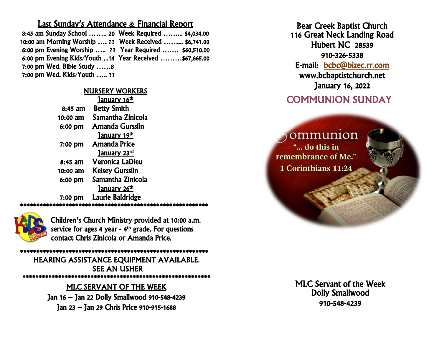### Last Sunday's Attendance & Financial Report

| 8:45 am Sunday School  20 Week Required  \$4,034.00     |  |
|---------------------------------------------------------|--|
| 10:00 am Morning Worship  ?? Week Received  \$6,741.00  |  |
| 6:00 pm Evening Worship  ?? Year Required  \$60,510.00  |  |
| 6:00 pm Evening Kids/Youth 14 Year Received \$67,665.00 |  |
| 7:00 pm Wed. Bible Study 8                              |  |
| 7:00 pm Wed. Kids/Youth ??                              |  |

#### NURSERY WORKERS

| January 16th             |
|--------------------------|
| <b>Betty Smith</b>       |
| Samantha Zinicola        |
| Amanda Gursslin          |
| January 19th             |
| <b>Amanda Price</b>      |
| <b>January 23rd</b>      |
| Veronica LaDieu          |
| <b>Kelsey Gursslin</b>   |
| Samantha Zinicola        |
| January 26 <sup>th</sup> |
| Laurie Baldridge         |
|                          |

\*\*\*\*\*\*\*\*\*\*\*\*\*\*\*\*\*\*\*\*\*\*\*\*\*\*\*\*\*\*\*\*\*\*\*\*\*\*\*\*\*\*\*\*\*\*\*\*\*\*\*\*\*\*\*\*\*\*



Children's Church Ministry provided at 10:00 a.m. service for ages 4 year - 4<sup>th</sup> grade. For questions contact Chris Zinicola or Amanda Price.

\*\*\*\*\*\*\*\*\*\*\*\*\*\*\*\*\*\*\*\*\*\*\*\*\*\*\*\*\*\*\*\*\*\*\*\*\*\*\*\*\*\*\*\*\*\*\*\*\*\*\*\*\*\*\*\*\*\* **\*\*\*\*\*\*\*\*\*\*\*\*\*\*\*\*\*\*\*\*\*\*\*\*\*\*\*\*\*\*\*\*\*\*\*\*\*\*\*\*\*\*\*\*\*** SEE AN USHER HEARING ASSISTANCE EQUIPMENT AVAILABLE. \*\*\*\*\*\*\*\*\*\*\*\*\*\*\*\*\*\*\*\*\*\*\*\*\*\*\*\*\*\*\*\*\*\*\*\*\*\*\*\*\*\*\*\*\*\*\*\*\*\*\*\*\*\*\*\*\*\*

#### я<br>Г MLC SERVANT OF THE WEEK

Jan 16 – Jan 22 Dolly Smallwood 910-548-4239 Jan 23 – Jan 29 Chris Price 910-915-1688

Bear Creek Baptist Church 116 Great Neck Landing Road Hubert NC 28539 910-326-5338 E-mail: [bcbc@bizec.rr.com](mailto:bcbc@bizec.rr.com)  www.bcbaptistchurch.net January 16, 2022

#### Ŭ COMMUNION SUNDAY Ī

ommunion "... do this in remembrance of Me." 1 Corinthians 11:24

> J Dolly Smallwood r<br>r Ĭ MLC Servant of the Week 910-548-4239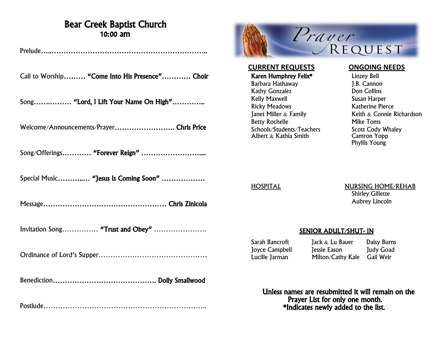## Bear Creek Baptist Church 10:00 am

Prelude…..………………………………………………………..

Call to Worship……… "Come Into His Presence"………… Choir

Song…….……… "Lord, I Lift Your Name On High"…………..

Welcome/Announcements/Prayer……………………. Chris Price

Song/Offerings………… "Forever Reign" ……………………....

Special Music………..… "Jesus Is Coming Soon" ………………

Message…………………………………………… Chris Zinicola

Invitation Song…………… "Trust and Obey" ………………….

Ordinance of Lord's Supper………………………………………

Benediction……………………………………. Dolly Smallwood

Postlude…………………………………………………………..



**CURRENT REQUESTS ONGOING NEEDS**

Karen Humphrey Felix\* Linzey Bell Barbara Hathaway J.B. Cannon Kathy Gonzalez **Don Collins** Kelly Maxwell **Susan Harper**<br>Ricky Meadows **Susan Harper**<br>Katherine Pier Betty Rochelle Mike Toms<br>Schools/Students/Teachers Scott Cody Whaley Schools/Students/Teachers Scott Cody WI<br>Albert & Kathia Smith Camron Yopp Albert & Kathia Smith

Katherine Pierce Janet Miller  $\&$  Family Keith  $\&$  Connie Richardson Phyllis Young

HOSPITAL NURSING HOME/REHAB Shirley Gillette Aubrey Lincoln

#### SENIOR ADULT/SHUT- IN

Joyce Campbell Jessie Eason

Sarah Bancroft Jack & Lu Bauer Daisy Burns<br>Jovce Campbell Jessie Eason Judy Goad Lucille Jarman Milton/Cathy Kale Gail Weir

 Unless names are resubmitted it will remain on the Prayer List for only one month. \*Indicates newly added to the list.